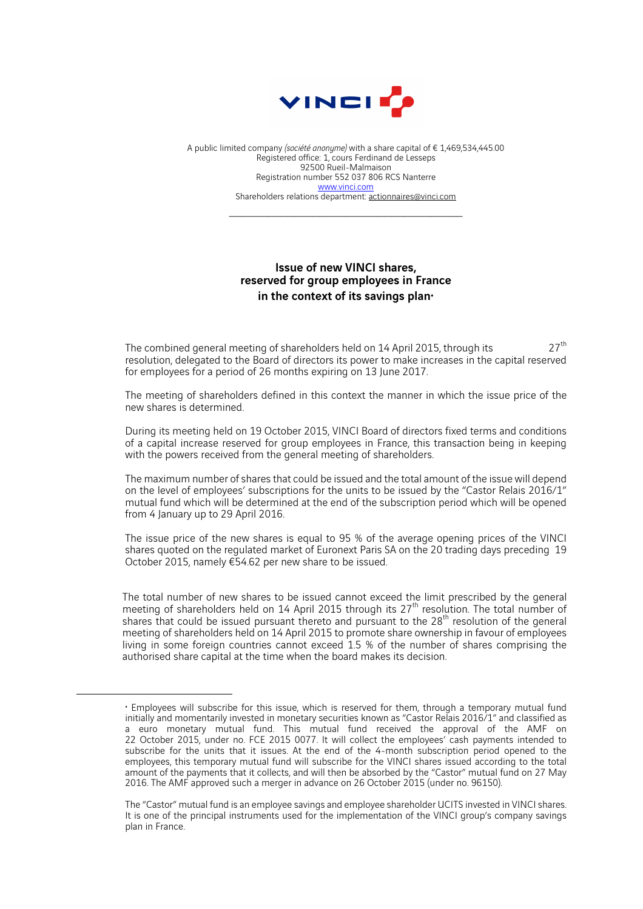

A public limited company *(société anonyme)* with a share capital of € 1,469,534,445.00 Registered office: 1, cours Ferdinand de Lesseps 92500 Rueil-Malmaison Registration number 552 037 806 RCS Nanterre www.vinci.com Shareholders relations department: actionnaires@vinci.com

 $\mathcal{L}_\text{max}$  , and the set of the set of the set of the set of the set of the set of the set of the set of the set of the set of the set of the set of the set of the set of the set of the set of the set of the set of the

## Issue of new VINCI shares, reserved for group employees in France in the context of its savings plan $\cdot$

The combined general meeting of shareholders held on 14 April 2015, through its  $27<sup>th</sup>$ resolution, delegated to the Board of directors its power to make increases in the capital reserved for employees for a period of 26 months expiring on 13 June 2017.

The meeting of shareholders defined in this context the manner in which the issue price of the new shares is determined.

During its meeting held on 19 October 2015, VINCI Board of directors fixed terms and conditions of a capital increase reserved for group employees in France, this transaction being in keeping with the powers received from the general meeting of shareholders.

The maximum number of shares that could be issued and the total amount of the issue will depend on the level of employees' subscriptions for the units to be issued by the "Castor Relais 2016/1" mutual fund which will be determined at the end of the subscription period which will be opened from 4 January up to 29 April 2016.

The issue price of the new shares is equal to 95 % of the average opening prices of the VINCI shares quoted on the regulated market of Euronext Paris SA on the 20 trading days preceding 19 October 2015, namely €54.62 per new share to be issued.

The total number of new shares to be issued cannot exceed the limit prescribed by the general meeting of shareholders held on 14 April 2015 through its 27<sup>th</sup> resolution. The total number of shares that could be issued pursuant thereto and pursuant to the  $28<sup>th</sup>$  resolution of the general meeting of shareholders held on 14 April 2015 to promote share ownership in favour of employees living in some foreign countries cannot exceed 1.5 % of the number of shares comprising the authorised share capital at the time when the board makes its decision.

 $\overline{a}$ 

<sup>♦</sup> Employees will subscribe for this issue, which is reserved for them, through a temporary mutual fund initially and momentarily invested in monetary securities known as "Castor Relais 2016/1" and classified as a euro monetary mutual fund. This mutual fund received the approval of the AMF on 22 October 2015, under no. FCE 2015 0077. It will collect the employees' cash payments intended to subscribe for the units that it issues. At the end of the 4-month subscription period opened to the employees, this temporary mutual fund will subscribe for the VINCI shares issued according to the total amount of the payments that it collects, and will then be absorbed by the "Castor" mutual fund on 27 May 2016. The AMF approved such a merger in advance on 26 October 2015 (under no. 96150).

The "Castor" mutual fund is an employee savings and employee shareholder UCITS invested in VINCI shares. It is one of the principal instruments used for the implementation of the VINCI group's company savings plan in France.